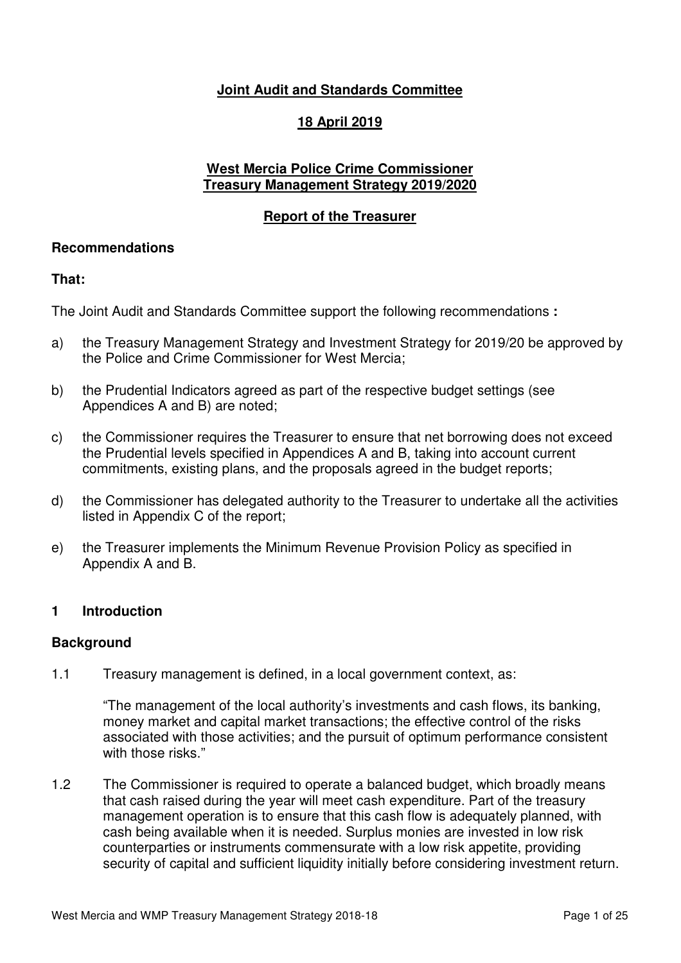# **Joint Audit and Standards Committee**

## **18 April 2019**

### **West Mercia Police Crime Commissioner Treasury Management Strategy 2019/2020**

## **Report of the Treasurer**

### **Recommendations**

## **That:**

The Joint Audit and Standards Committee support the following recommendations **:** 

- a) the Treasury Management Strategy and Investment Strategy for 2019/20 be approved by the Police and Crime Commissioner for West Mercia;
- b) the Prudential Indicators agreed as part of the respective budget settings (see Appendices A and B) are noted;
- c) the Commissioner requires the Treasurer to ensure that net borrowing does not exceed the Prudential levels specified in Appendices A and B, taking into account current commitments, existing plans, and the proposals agreed in the budget reports;
- d) the Commissioner has delegated authority to the Treasurer to undertake all the activities listed in Appendix C of the report;
- e) the Treasurer implements the Minimum Revenue Provision Policy as specified in Appendix A and B.

### **1 Introduction**

### **Background**

1.1 Treasury management is defined, in a local government context, as:

"The management of the local authority's investments and cash flows, its banking, money market and capital market transactions; the effective control of the risks associated with those activities; and the pursuit of optimum performance consistent with those risks."

1.2 The Commissioner is required to operate a balanced budget, which broadly means that cash raised during the year will meet cash expenditure. Part of the treasury management operation is to ensure that this cash flow is adequately planned, with cash being available when it is needed. Surplus monies are invested in low risk counterparties or instruments commensurate with a low risk appetite, providing security of capital and sufficient liquidity initially before considering investment return.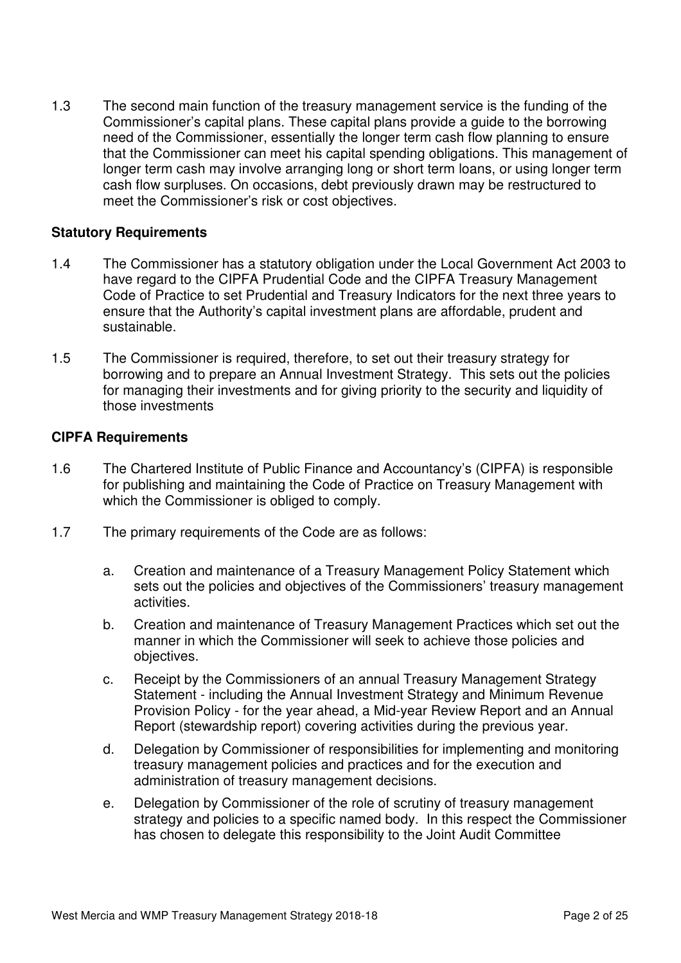1.3 The second main function of the treasury management service is the funding of the Commissioner's capital plans. These capital plans provide a guide to the borrowing need of the Commissioner, essentially the longer term cash flow planning to ensure that the Commissioner can meet his capital spending obligations. This management of longer term cash may involve arranging long or short term loans, or using longer term cash flow surpluses. On occasions, debt previously drawn may be restructured to meet the Commissioner's risk or cost objectives.

#### **Statutory Requirements**

- 1.4 The Commissioner has a statutory obligation under the Local Government Act 2003 to have regard to the CIPFA Prudential Code and the CIPFA Treasury Management Code of Practice to set Prudential and Treasury Indicators for the next three years to ensure that the Authority's capital investment plans are affordable, prudent and sustainable.
- 1.5 The Commissioner is required, therefore, to set out their treasury strategy for borrowing and to prepare an Annual Investment Strategy. This sets out the policies for managing their investments and for giving priority to the security and liquidity of those investments

#### **CIPFA Requirements**

- 1.6 The Chartered Institute of Public Finance and Accountancy's (CIPFA) is responsible for publishing and maintaining the Code of Practice on Treasury Management with which the Commissioner is obliged to comply.
- 1.7 The primary requirements of the Code are as follows:
	- a. Creation and maintenance of a Treasury Management Policy Statement which sets out the policies and objectives of the Commissioners' treasury management activities.
	- b. Creation and maintenance of Treasury Management Practices which set out the manner in which the Commissioner will seek to achieve those policies and objectives.
	- c. Receipt by the Commissioners of an annual Treasury Management Strategy Statement - including the Annual Investment Strategy and Minimum Revenue Provision Policy - for the year ahead, a Mid-year Review Report and an Annual Report (stewardship report) covering activities during the previous year.
	- d. Delegation by Commissioner of responsibilities for implementing and monitoring treasury management policies and practices and for the execution and administration of treasury management decisions.
	- e. Delegation by Commissioner of the role of scrutiny of treasury management strategy and policies to a specific named body. In this respect the Commissioner has chosen to delegate this responsibility to the Joint Audit Committee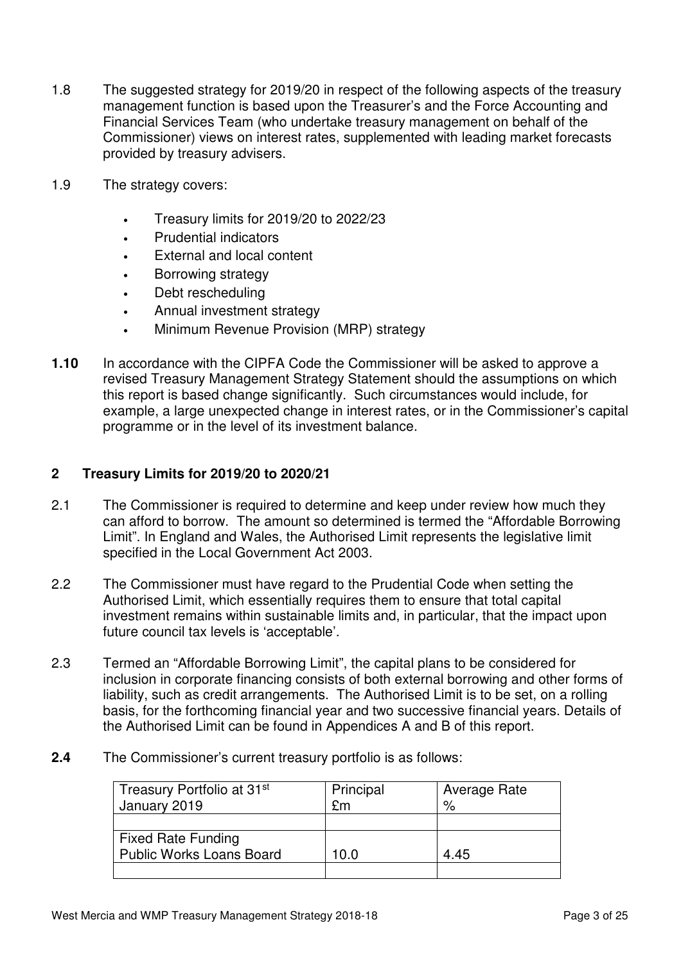- 1.8 The suggested strategy for 2019/20 in respect of the following aspects of the treasury management function is based upon the Treasurer's and the Force Accounting and Financial Services Team (who undertake treasury management on behalf of the Commissioner) views on interest rates, supplemented with leading market forecasts provided by treasury advisers.
- 1.9 The strategy covers:
	- Treasury limits for 2019/20 to 2022/23
	- Prudential indicators
	- External and local content
	- Borrowing strategy
	- Debt rescheduling
	- Annual investment strategy
	- Minimum Revenue Provision (MRP) strategy
- **1.10** In accordance with the CIPFA Code the Commissioner will be asked to approve a revised Treasury Management Strategy Statement should the assumptions on which this report is based change significantly. Such circumstances would include, for example, a large unexpected change in interest rates, or in the Commissioner's capital programme or in the level of its investment balance.

### **2 Treasury Limits for 2019/20 to 2020/21**

- 2.1 The Commissioner is required to determine and keep under review how much they can afford to borrow. The amount so determined is termed the "Affordable Borrowing Limit". In England and Wales, the Authorised Limit represents the legislative limit specified in the Local Government Act 2003.
- 2.2 The Commissioner must have regard to the Prudential Code when setting the Authorised Limit, which essentially requires them to ensure that total capital investment remains within sustainable limits and, in particular, that the impact upon future council tax levels is 'acceptable'.
- 2.3 Termed an "Affordable Borrowing Limit", the capital plans to be considered for inclusion in corporate financing consists of both external borrowing and other forms of liability, such as credit arrangements. The Authorised Limit is to be set, on a rolling basis, for the forthcoming financial year and two successive financial years. Details of the Authorised Limit can be found in Appendices A and B of this report.
- **2.4** The Commissioner's current treasury portfolio is as follows:

| Treasury Portfolio at 31 <sup>st</sup><br>January 2019 | Principal<br>£m | Average Rate<br>$\frac{0}{0}$ |
|--------------------------------------------------------|-----------------|-------------------------------|
|                                                        |                 |                               |
| <b>Fixed Rate Funding</b>                              |                 |                               |
| <b>Public Works Loans Board</b>                        | 10.0            | 4.45                          |
|                                                        |                 |                               |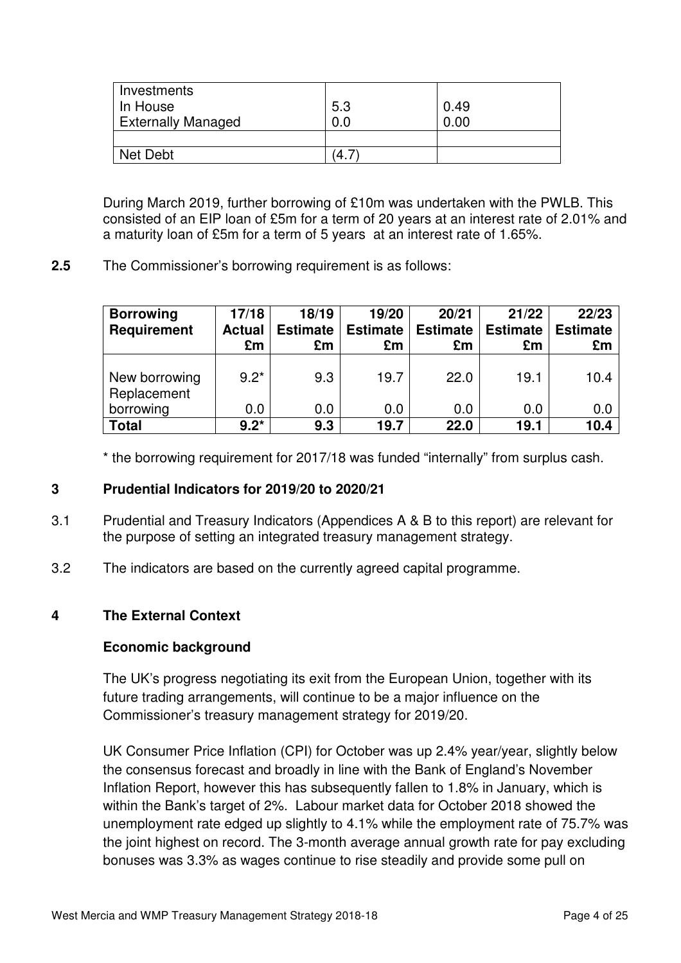| Investments               |     |      |
|---------------------------|-----|------|
| In House                  | 5.3 | 0.49 |
| <b>Externally Managed</b> | 0.0 | 0.00 |
|                           |     |      |
| Net Debt                  | '4. |      |

During March 2019, further borrowing of £10m was undertaken with the PWLB. This consisted of an EIP loan of £5m for a term of 20 years at an interest rate of 2.01% and a maturity loan of £5m for a term of 5 years at an interest rate of 1.65%.

**2.5** The Commissioner's borrowing requirement is as follows:

| <b>Borrowing</b><br><b>Requirement</b> | 17/18<br><b>Actual</b><br>£m | 18/19<br><b>Estimate</b><br>£m | 19/20<br><b>Estimate</b><br>£m | 20/21<br><b>Estimate</b><br>£m | 21/22<br><b>Estimate</b><br>£m | 22/23<br><b>Estimate</b><br>£m |
|----------------------------------------|------------------------------|--------------------------------|--------------------------------|--------------------------------|--------------------------------|--------------------------------|
| New borrowing<br>Replacement           | $9.2*$                       | 9.3                            | 19.7                           | 22.0                           | 19.1                           | 10.4                           |
| borrowing                              | 0.0                          | 0.0                            | 0.0                            | 0.0                            | 0.0                            | 0.0                            |
| <b>Total</b>                           | $9.2*$                       | 9.3                            | 19.7                           | 22.0                           | 19.1                           | 10.4                           |

\* the borrowing requirement for 2017/18 was funded "internally" from surplus cash.

# **3 Prudential Indicators for 2019/20 to 2020/21**

- 3.1 Prudential and Treasury Indicators (Appendices A & B to this report) are relevant for the purpose of setting an integrated treasury management strategy.
- 3.2 The indicators are based on the currently agreed capital programme.

# **4 The External Context**

### **Economic background**

The UK's progress negotiating its exit from the European Union, together with its future trading arrangements, will continue to be a major influence on the Commissioner's treasury management strategy for 2019/20.

UK Consumer Price Inflation (CPI) for October was up 2.4% year/year, slightly below the consensus forecast and broadly in line with the Bank of England's November Inflation Report, however this has subsequently fallen to 1.8% in January, which is within the Bank's target of 2%. Labour market data for October 2018 showed the unemployment rate edged up slightly to 4.1% while the employment rate of 75.7% was the joint highest on record. The 3-month average annual growth rate for pay excluding bonuses was 3.3% as wages continue to rise steadily and provide some pull on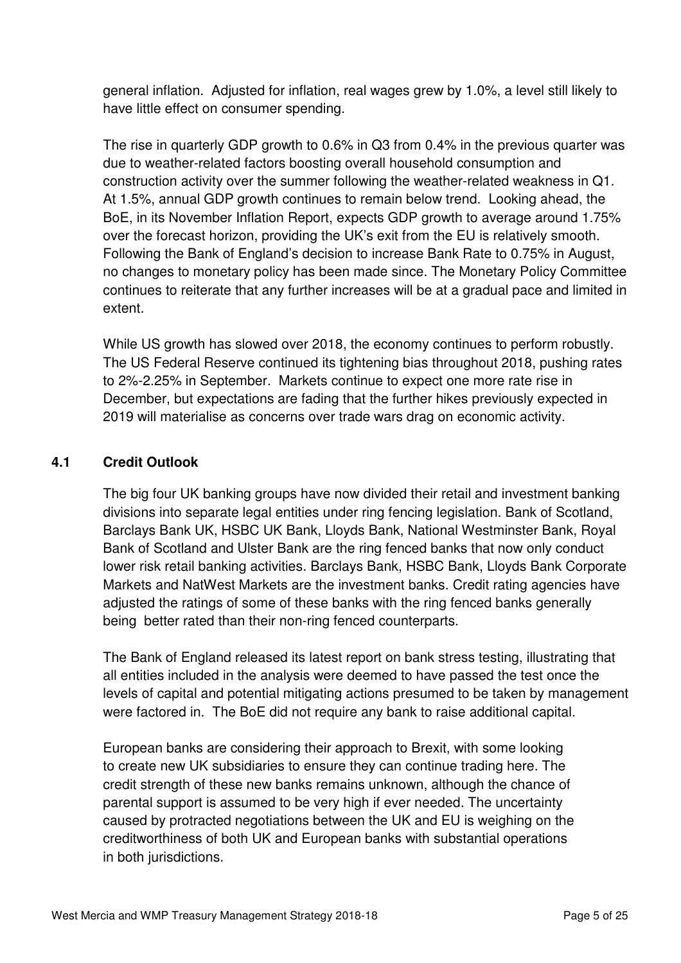general inflation. Adjusted for inflation, real wages grew by 1.0%, a level still likely to have little effect on consumer spending.

 The rise in quarterly GDP growth to 0.6% in Q3 from 0.4% in the previous quarter was due to weather-related factors boosting overall household consumption and construction activity over the summer following the weather-related weakness in Q1. At 1.5%, annual GDP growth continues to remain below trend. Looking ahead, the BoE, in its November Inflation Report, expects GDP growth to average around 1.75% over the forecast horizon, providing the UK's exit from the EU is relatively smooth. Following the Bank of England's decision to increase Bank Rate to 0.75% in August, no changes to monetary policy has been made since. The Monetary Policy Committee continues to reiterate that any further increases will be at a gradual pace and limited in extent.

While US growth has slowed over 2018, the economy continues to perform robustly. The US Federal Reserve continued its tightening bias throughout 2018, pushing rates to 2%-2.25% in September. Markets continue to expect one more rate rise in December, but expectations are fading that the further hikes previously expected in 2019 will materialise as concerns over trade wars drag on economic activity.

# **4.1 Credit Outlook**

 The big four UK banking groups have now divided their retail and investment banking divisions into separate legal entities under ring fencing legislation. Bank of Scotland, Barclays Bank UK, HSBC UK Bank, Lloyds Bank, National Westminster Bank, Royal Bank of Scotland and Ulster Bank are the ring fenced banks that now only conduct lower risk retail banking activities. Barclays Bank, HSBC Bank, Lloyds Bank Corporate Markets and NatWest Markets are the investment banks. Credit rating agencies have adjusted the ratings of some of these banks with the ring fenced banks generally being better rated than their non-ring fenced counterparts.

 The Bank of England released its latest report on bank stress testing, illustrating that all entities included in the analysis were deemed to have passed the test once the levels of capital and potential mitigating actions presumed to be taken by management were factored in. The BoE did not require any bank to raise additional capital.

 European banks are considering their approach to Brexit, with some looking to create new UK subsidiaries to ensure they can continue trading here. The credit strength of these new banks remains unknown, although the chance of parental support is assumed to be very high if ever needed. The uncertainty caused by protracted negotiations between the UK and EU is weighing on the creditworthiness of both UK and European banks with substantial operations in both jurisdictions.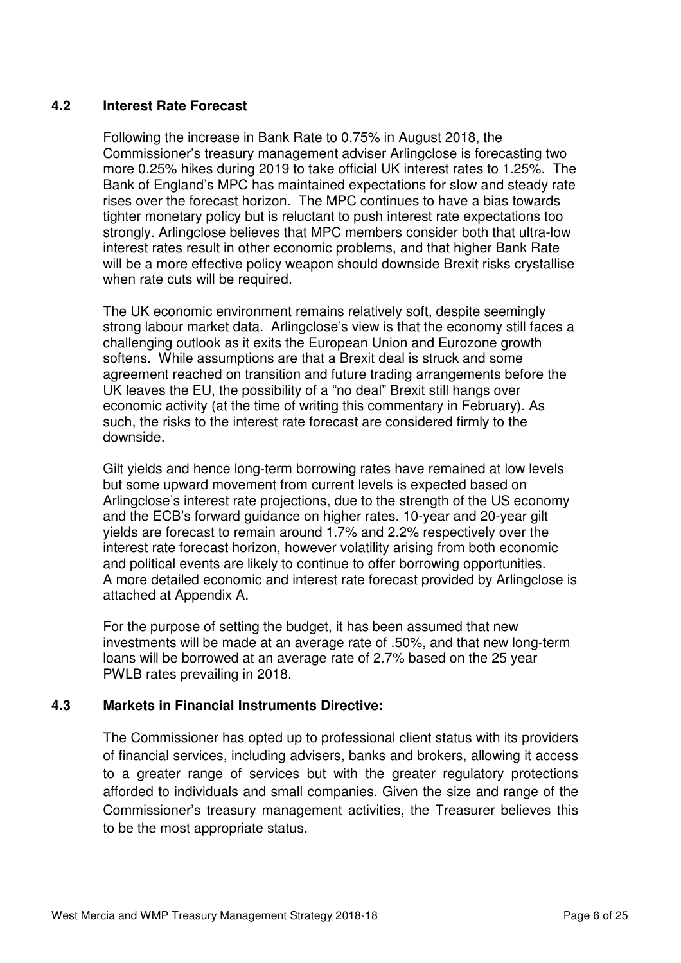## **4.2 Interest Rate Forecast**

Following the increase in Bank Rate to 0.75% in August 2018, the Commissioner's treasury management adviser Arlingclose is forecasting two more 0.25% hikes during 2019 to take official UK interest rates to 1.25%. The Bank of England's MPC has maintained expectations for slow and steady rate rises over the forecast horizon. The MPC continues to have a bias towards tighter monetary policy but is reluctant to push interest rate expectations too strongly. Arlingclose believes that MPC members consider both that ultra-low interest rates result in other economic problems, and that higher Bank Rate will be a more effective policy weapon should downside Brexit risks crystallise when rate cuts will be required.

The UK economic environment remains relatively soft, despite seemingly strong labour market data. Arlingclose's view is that the economy still faces a challenging outlook as it exits the European Union and Eurozone growth softens. While assumptions are that a Brexit deal is struck and some agreement reached on transition and future trading arrangements before the UK leaves the EU, the possibility of a "no deal" Brexit still hangs over economic activity (at the time of writing this commentary in February). As such, the risks to the interest rate forecast are considered firmly to the downside.

Gilt yields and hence long-term borrowing rates have remained at low levels but some upward movement from current levels is expected based on Arlingclose's interest rate projections, due to the strength of the US economy and the ECB's forward guidance on higher rates. 10-year and 20-year gilt yields are forecast to remain around 1.7% and 2.2% respectively over the interest rate forecast horizon, however volatility arising from both economic and political events are likely to continue to offer borrowing opportunities. A more detailed economic and interest rate forecast provided by Arlingclose is attached at Appendix A.

For the purpose of setting the budget, it has been assumed that new investments will be made at an average rate of .50%, and that new long-term loans will be borrowed at an average rate of 2.7% based on the 25 year PWLB rates prevailing in 2018.

### **4.3 Markets in Financial Instruments Directive:**

The Commissioner has opted up to professional client status with its providers of financial services, including advisers, banks and brokers, allowing it access to a greater range of services but with the greater regulatory protections afforded to individuals and small companies. Given the size and range of the Commissioner's treasury management activities, the Treasurer believes this to be the most appropriate status.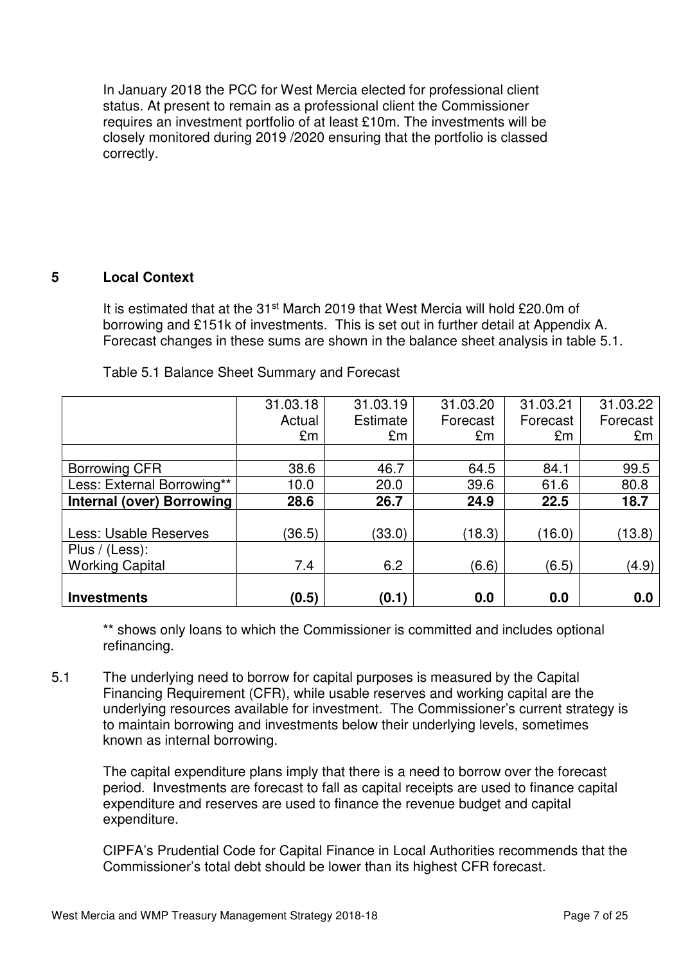In January 2018 the PCC for West Mercia elected for professional client status. At present to remain as a professional client the Commissioner requires an investment portfolio of at least £10m. The investments will be closely monitored during 2019 /2020 ensuring that the portfolio is classed correctly.

### **5 Local Context**

It is estimated that at the 31<sup>st</sup> March 2019 that West Mercia will hold £20.0m of borrowing and £151k of investments. This is set out in further detail at Appendix A. Forecast changes in these sums are shown in the balance sheet analysis in table 5.1.

|                                  | 31.03.18 | 31.03.19        | 31.03.20 | 31.03.21 | 31.03.22 |
|----------------------------------|----------|-----------------|----------|----------|----------|
|                                  | Actual   | <b>Estimate</b> | Forecast | Forecast | Forecast |
|                                  | £m       | £m              | £m       | £m       | £m       |
|                                  |          |                 |          |          |          |
| <b>Borrowing CFR</b>             | 38.6     | 46.7            | 64.5     | 84.1     | 99.5     |
| Less: External Borrowing**       | 10.0     | 20.0            | 39.6     | 61.6     | 80.8     |
| <b>Internal (over) Borrowing</b> | 28.6     | 26.7            | 24.9     | 22.5     | 18.7     |
|                                  |          |                 |          |          |          |
| Less: Usable Reserves            | (36.5)   | (33.0)          | (18.3)   | (16.0)   | (13.8)   |
| Plus / (Less):                   |          |                 |          |          |          |
| <b>Working Capital</b>           | 7.4      | 6.2             | (6.6)    | (6.5)    | (4.9)    |
|                                  |          |                 |          |          |          |
| <b>Investments</b>               | (0.5)    | (0.1)           | 0.0      | 0.0      | 0.0      |

Table 5.1 Balance Sheet Summary and Forecast

\*\* shows only loans to which the Commissioner is committed and includes optional refinancing.

5.1 The underlying need to borrow for capital purposes is measured by the Capital Financing Requirement (CFR), while usable reserves and working capital are the underlying resources available for investment. The Commissioner's current strategy is to maintain borrowing and investments below their underlying levels, sometimes known as internal borrowing.

The capital expenditure plans imply that there is a need to borrow over the forecast period. Investments are forecast to fall as capital receipts are used to finance capital expenditure and reserves are used to finance the revenue budget and capital expenditure.

CIPFA's Prudential Code for Capital Finance in Local Authorities recommends that the Commissioner's total debt should be lower than its highest CFR forecast.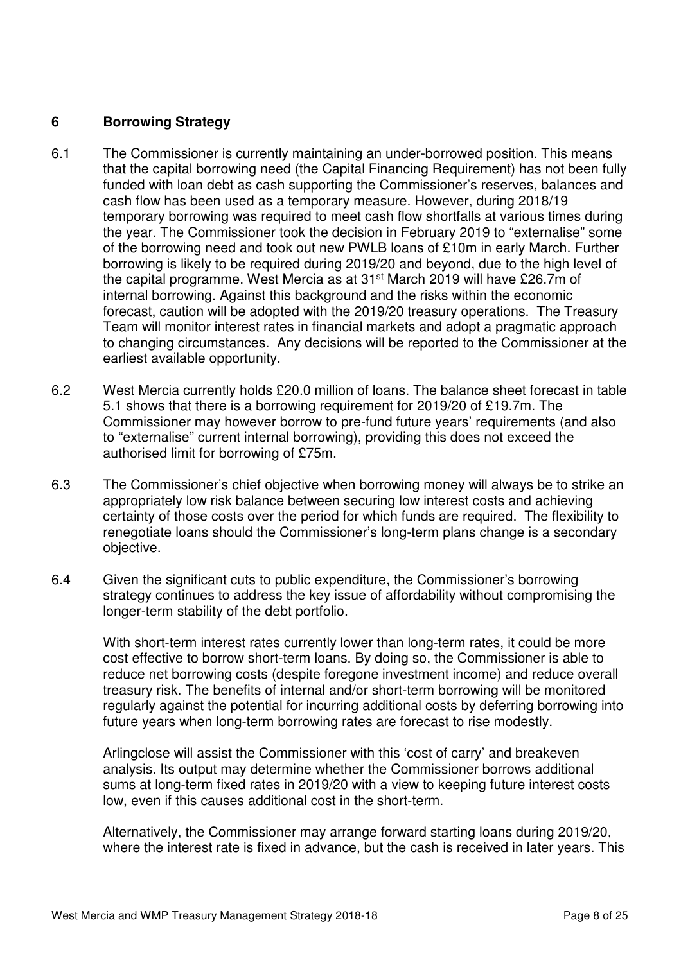## **6 Borrowing Strategy**

- 6.1 The Commissioner is currently maintaining an under-borrowed position. This means that the capital borrowing need (the Capital Financing Requirement) has not been fully funded with loan debt as cash supporting the Commissioner's reserves, balances and cash flow has been used as a temporary measure. However, during 2018/19 temporary borrowing was required to meet cash flow shortfalls at various times during the year. The Commissioner took the decision in February 2019 to "externalise" some of the borrowing need and took out new PWLB loans of £10m in early March. Further borrowing is likely to be required during 2019/20 and beyond, due to the high level of the capital programme. West Mercia as at 31st March 2019 will have £26.7m of internal borrowing. Against this background and the risks within the economic forecast, caution will be adopted with the 2019/20 treasury operations. The Treasury Team will monitor interest rates in financial markets and adopt a pragmatic approach to changing circumstances. Any decisions will be reported to the Commissioner at the earliest available opportunity.
- 6.2 West Mercia currently holds £20.0 million of loans. The balance sheet forecast in table 5.1 shows that there is a borrowing requirement for 2019/20 of £19.7m. The Commissioner may however borrow to pre-fund future years' requirements (and also to "externalise" current internal borrowing), providing this does not exceed the authorised limit for borrowing of £75m.
- 6.3 The Commissioner's chief objective when borrowing money will always be to strike an appropriately low risk balance between securing low interest costs and achieving certainty of those costs over the period for which funds are required. The flexibility to renegotiate loans should the Commissioner's long-term plans change is a secondary objective.
- 6.4 Given the significant cuts to public expenditure, the Commissioner's borrowing strategy continues to address the key issue of affordability without compromising the longer-term stability of the debt portfolio.

With short-term interest rates currently lower than long-term rates, it could be more cost effective to borrow short-term loans. By doing so, the Commissioner is able to reduce net borrowing costs (despite foregone investment income) and reduce overall treasury risk. The benefits of internal and/or short-term borrowing will be monitored regularly against the potential for incurring additional costs by deferring borrowing into future years when long-term borrowing rates are forecast to rise modestly.

Arlingclose will assist the Commissioner with this 'cost of carry' and breakeven analysis. Its output may determine whether the Commissioner borrows additional sums at long-term fixed rates in 2019/20 with a view to keeping future interest costs low, even if this causes additional cost in the short-term.

 Alternatively, the Commissioner may arrange forward starting loans during 2019/20, where the interest rate is fixed in advance, but the cash is received in later years. This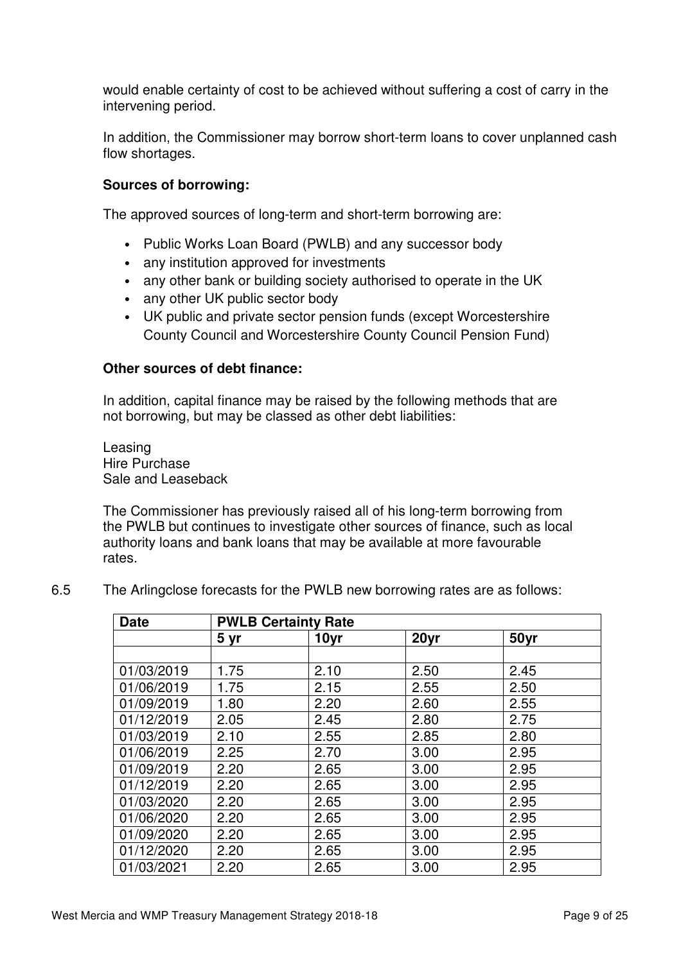would enable certainty of cost to be achieved without suffering a cost of carry in the intervening period.

 In addition, the Commissioner may borrow short-term loans to cover unplanned cash flow shortages.

### **Sources of borrowing:**

The approved sources of long-term and short-term borrowing are:

- Public Works Loan Board (PWLB) and any successor body
- any institution approved for investments
- any other bank or building society authorised to operate in the UK
- any other UK public sector body
- UK public and private sector pension funds (except Worcestershire County Council and Worcestershire County Council Pension Fund)

#### **Other sources of debt finance:**

In addition, capital finance may be raised by the following methods that are not borrowing, but may be classed as other debt liabilities:

Leasing Hire Purchase Sale and Leaseback

The Commissioner has previously raised all of his long-term borrowing from the PWLB but continues to investigate other sources of finance, such as local authority loans and bank loans that may be available at more favourable rates.

6.5 The Arlingclose forecasts for the PWLB new borrowing rates are as follows:

| <b>Date</b> | <b>PWLB Certainty Rate</b> |      |      |      |
|-------------|----------------------------|------|------|------|
|             | 5 yr                       | 10yr | 20yr | 50yr |
|             |                            |      |      |      |
| 01/03/2019  | 1.75                       | 2.10 | 2.50 | 2.45 |
| 01/06/2019  | 1.75                       | 2.15 | 2.55 | 2.50 |
| 01/09/2019  | 1.80                       | 2.20 | 2.60 | 2.55 |
| 01/12/2019  | 2.05                       | 2.45 | 2.80 | 2.75 |
| 01/03/2019  | 2.10                       | 2.55 | 2.85 | 2.80 |
| 01/06/2019  | 2.25                       | 2.70 | 3.00 | 2.95 |
| 01/09/2019  | 2.20                       | 2.65 | 3.00 | 2.95 |
| 01/12/2019  | 2.20                       | 2.65 | 3.00 | 2.95 |
| 01/03/2020  | 2.20                       | 2.65 | 3.00 | 2.95 |
| 01/06/2020  | 2.20                       | 2.65 | 3.00 | 2.95 |
| 01/09/2020  | 2.20                       | 2.65 | 3.00 | 2.95 |
| 01/12/2020  | 2.20                       | 2.65 | 3.00 | 2.95 |
| 01/03/2021  | 2.20                       | 2.65 | 3.00 | 2.95 |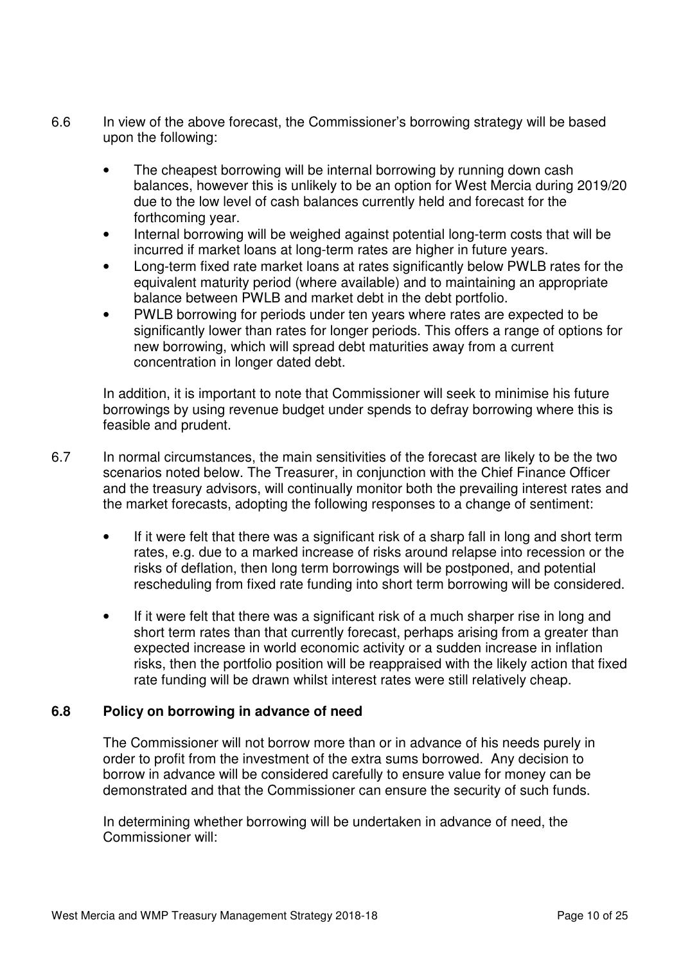- 6.6 In view of the above forecast, the Commissioner's borrowing strategy will be based upon the following:
	- The cheapest borrowing will be internal borrowing by running down cash balances, however this is unlikely to be an option for West Mercia during 2019/20 due to the low level of cash balances currently held and forecast for the forthcoming year.
	- Internal borrowing will be weighed against potential long-term costs that will be incurred if market loans at long-term rates are higher in future years.
	- Long-term fixed rate market loans at rates significantly below PWLB rates for the equivalent maturity period (where available) and to maintaining an appropriate balance between PWLB and market debt in the debt portfolio.
	- PWLB borrowing for periods under ten years where rates are expected to be significantly lower than rates for longer periods. This offers a range of options for new borrowing, which will spread debt maturities away from a current concentration in longer dated debt.

In addition, it is important to note that Commissioner will seek to minimise his future borrowings by using revenue budget under spends to defray borrowing where this is feasible and prudent.

- 6.7 In normal circumstances, the main sensitivities of the forecast are likely to be the two scenarios noted below. The Treasurer, in conjunction with the Chief Finance Officer and the treasury advisors, will continually monitor both the prevailing interest rates and the market forecasts, adopting the following responses to a change of sentiment:
	- If it were felt that there was a significant risk of a sharp fall in long and short term rates, e.g. due to a marked increase of risks around relapse into recession or the risks of deflation, then long term borrowings will be postponed, and potential rescheduling from fixed rate funding into short term borrowing will be considered.
	- If it were felt that there was a significant risk of a much sharper rise in long and short term rates than that currently forecast, perhaps arising from a greater than expected increase in world economic activity or a sudden increase in inflation risks, then the portfolio position will be reappraised with the likely action that fixed rate funding will be drawn whilst interest rates were still relatively cheap.

# **6.8 Policy on borrowing in advance of need**

 The Commissioner will not borrow more than or in advance of his needs purely in order to profit from the investment of the extra sums borrowed. Any decision to borrow in advance will be considered carefully to ensure value for money can be demonstrated and that the Commissioner can ensure the security of such funds.

 In determining whether borrowing will be undertaken in advance of need, the Commissioner will: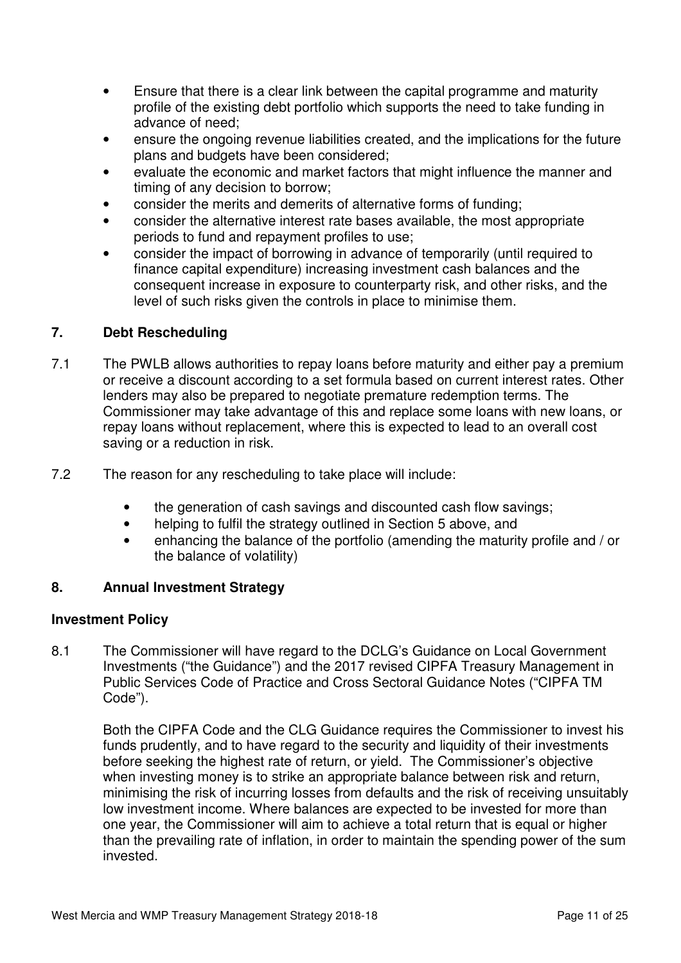- Ensure that there is a clear link between the capital programme and maturity profile of the existing debt portfolio which supports the need to take funding in advance of need;
- ensure the ongoing revenue liabilities created, and the implications for the future plans and budgets have been considered;
- evaluate the economic and market factors that might influence the manner and timing of any decision to borrow;
- consider the merits and demerits of alternative forms of funding;
- consider the alternative interest rate bases available, the most appropriate periods to fund and repayment profiles to use;
- consider the impact of borrowing in advance of temporarily (until required to finance capital expenditure) increasing investment cash balances and the consequent increase in exposure to counterparty risk, and other risks, and the level of such risks given the controls in place to minimise them.

## **7. Debt Rescheduling**

- 7.1 The PWLB allows authorities to repay loans before maturity and either pay a premium or receive a discount according to a set formula based on current interest rates. Other lenders may also be prepared to negotiate premature redemption terms. The Commissioner may take advantage of this and replace some loans with new loans, or repay loans without replacement, where this is expected to lead to an overall cost saving or a reduction in risk.
- 7.2 The reason for any rescheduling to take place will include:
	- the generation of cash savings and discounted cash flow savings;
	- helping to fulfil the strategy outlined in Section 5 above, and
	- enhancing the balance of the portfolio (amending the maturity profile and / or the balance of volatility)

### **8. Annual Investment Strategy**

### **Investment Policy**

8.1 The Commissioner will have regard to the DCLG's Guidance on Local Government Investments ("the Guidance") and the 2017 revised CIPFA Treasury Management in Public Services Code of Practice and Cross Sectoral Guidance Notes ("CIPFA TM Code").

 Both the CIPFA Code and the CLG Guidance requires the Commissioner to invest his funds prudently, and to have regard to the security and liquidity of their investments before seeking the highest rate of return, or yield. The Commissioner's objective when investing money is to strike an appropriate balance between risk and return, minimising the risk of incurring losses from defaults and the risk of receiving unsuitably low investment income. Where balances are expected to be invested for more than one year, the Commissioner will aim to achieve a total return that is equal or higher than the prevailing rate of inflation, in order to maintain the spending power of the sum invested.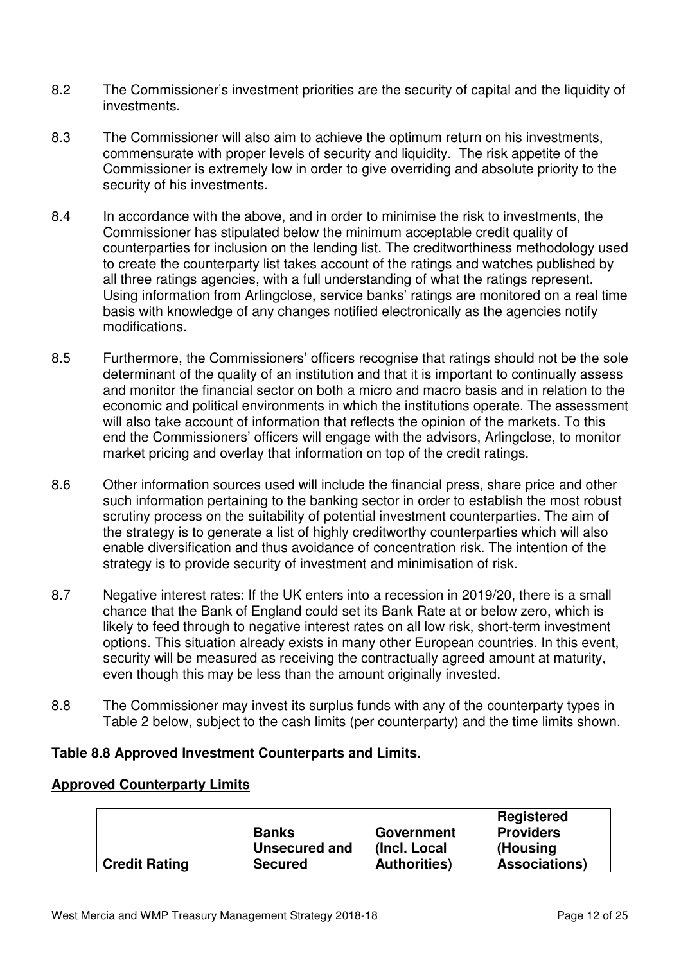- 8.2 The Commissioner's investment priorities are the security of capital and the liquidity of investments.
- 8.3 The Commissioner will also aim to achieve the optimum return on his investments, commensurate with proper levels of security and liquidity. The risk appetite of the Commissioner is extremely low in order to give overriding and absolute priority to the security of his investments.
- 8.4 In accordance with the above, and in order to minimise the risk to investments, the Commissioner has stipulated below the minimum acceptable credit quality of counterparties for inclusion on the lending list. The creditworthiness methodology used to create the counterparty list takes account of the ratings and watches published by all three ratings agencies, with a full understanding of what the ratings represent. Using information from Arlingclose, service banks' ratings are monitored on a real time basis with knowledge of any changes notified electronically as the agencies notify modifications.
- 8.5 Furthermore, the Commissioners' officers recognise that ratings should not be the sole determinant of the quality of an institution and that it is important to continually assess and monitor the financial sector on both a micro and macro basis and in relation to the economic and political environments in which the institutions operate. The assessment will also take account of information that reflects the opinion of the markets. To this end the Commissioners' officers will engage with the advisors, Arlingclose, to monitor market pricing and overlay that information on top of the credit ratings.
- 8.6 Other information sources used will include the financial press, share price and other such information pertaining to the banking sector in order to establish the most robust scrutiny process on the suitability of potential investment counterparties. The aim of the strategy is to generate a list of highly creditworthy counterparties which will also enable diversification and thus avoidance of concentration risk. The intention of the strategy is to provide security of investment and minimisation of risk.
- 8.7 Negative interest rates: If the UK enters into a recession in 2019/20, there is a small chance that the Bank of England could set its Bank Rate at or below zero, which is likely to feed through to negative interest rates on all low risk, short-term investment options. This situation already exists in many other European countries. In this event, security will be measured as receiving the contractually agreed amount at maturity, even though this may be less than the amount originally invested.
- 8.8 The Commissioner may invest its surplus funds with any of the counterparty types in Table 2 below, subject to the cash limits (per counterparty) and the time limits shown.

### **Table 8.8 Approved Investment Counterparts and Limits.**

### **Approved Counterparty Limits**

|                      |                |                      | <b>Registered</b>    |
|----------------------|----------------|----------------------|----------------------|
|                      | <b>Banks</b>   | Government           | <b>Providers</b>     |
|                      | Unsecured and  | (Incl. Local)        | (Housing             |
| <b>Credit Rating</b> | <b>Secured</b> | <b>Authorities</b> ) | <b>Associations)</b> |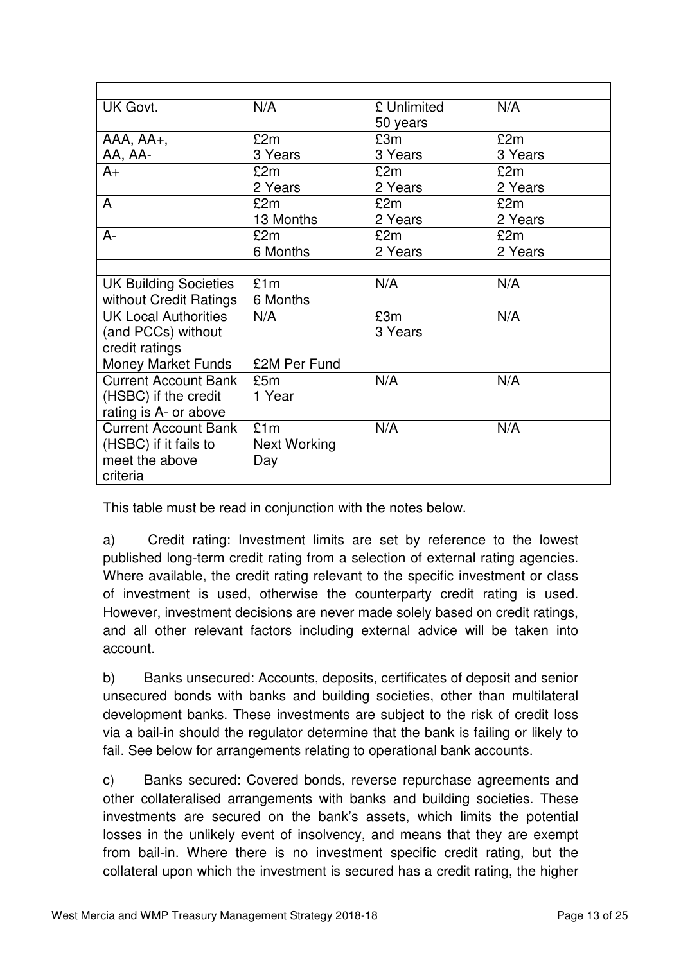| UK Govt.                     | N/A                 | £ Unlimited | N/A     |
|------------------------------|---------------------|-------------|---------|
|                              |                     | 50 years    |         |
| $AAA$ , $AA$ +,              | £2m                 | £3m         | £2m     |
| AA, AA-                      | 3 Years             | 3 Years     | 3 Years |
| $A+$                         | £2m                 | £2m         | £2m     |
|                              | 2 Years             | 2 Years     | 2 Years |
| A                            | £2m                 | £2m         | £2m     |
|                              | 13 Months           | 2 Years     | 2 Years |
| $A -$                        | £2m                 | £2m         | £2m     |
|                              | 6 Months            | 2 Years     | 2 Years |
|                              |                     |             |         |
| <b>UK Building Societies</b> | £1m                 | N/A         | N/A     |
| without Credit Ratings       | 6 Months            |             |         |
| <b>UK Local Authorities</b>  | N/A                 | £3m         | N/A     |
| (and PCCs) without           |                     | 3 Years     |         |
| credit ratings               |                     |             |         |
| <b>Money Market Funds</b>    | £2M Per Fund        |             |         |
| <b>Current Account Bank</b>  | £5m                 | N/A         | N/A     |
| (HSBC) if the credit         | 1 Year              |             |         |
| rating is A- or above        |                     |             |         |
| <b>Current Account Bank</b>  | £1m                 | N/A         | N/A     |
| (HSBC) if it fails to        | <b>Next Working</b> |             |         |
| meet the above               | Day                 |             |         |
| criteria                     |                     |             |         |

This table must be read in conjunction with the notes below.

a) Credit rating: Investment limits are set by reference to the lowest published long-term credit rating from a selection of external rating agencies. Where available, the credit rating relevant to the specific investment or class of investment is used, otherwise the counterparty credit rating is used. However, investment decisions are never made solely based on credit ratings, and all other relevant factors including external advice will be taken into account.

b) Banks unsecured: Accounts, deposits, certificates of deposit and senior unsecured bonds with banks and building societies, other than multilateral development banks. These investments are subject to the risk of credit loss via a bail-in should the regulator determine that the bank is failing or likely to fail. See below for arrangements relating to operational bank accounts.

c) Banks secured: Covered bonds, reverse repurchase agreements and other collateralised arrangements with banks and building societies. These investments are secured on the bank's assets, which limits the potential losses in the unlikely event of insolvency, and means that they are exempt from bail-in. Where there is no investment specific credit rating, but the collateral upon which the investment is secured has a credit rating, the higher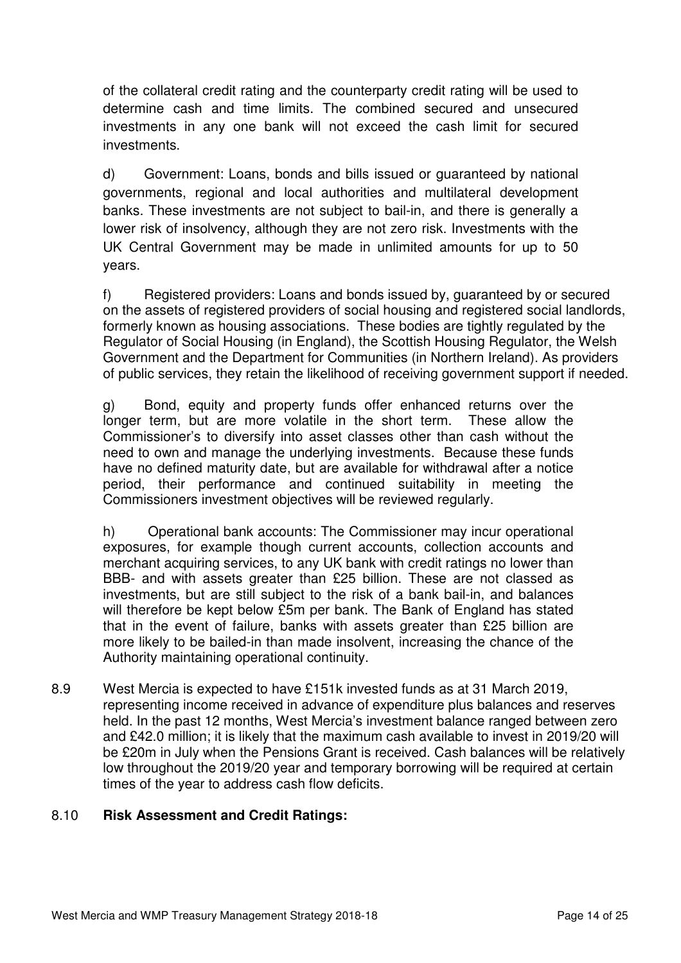of the collateral credit rating and the counterparty credit rating will be used to determine cash and time limits. The combined secured and unsecured investments in any one bank will not exceed the cash limit for secured investments.

d) Government: Loans, bonds and bills issued or guaranteed by national governments, regional and local authorities and multilateral development banks. These investments are not subject to bail-in, and there is generally a lower risk of insolvency, although they are not zero risk. Investments with the UK Central Government may be made in unlimited amounts for up to 50 years.

 f) Registered providers: Loans and bonds issued by, guaranteed by or secured on the assets of registered providers of social housing and registered social landlords, formerly known as housing associations. These bodies are tightly regulated by the Regulator of Social Housing (in England), the Scottish Housing Regulator, the Welsh Government and the Department for Communities (in Northern Ireland). As providers of public services, they retain the likelihood of receiving government support if needed.

g) Bond, equity and property funds offer enhanced returns over the longer term, but are more volatile in the short term. These allow the Commissioner's to diversify into asset classes other than cash without the need to own and manage the underlying investments. Because these funds have no defined maturity date, but are available for withdrawal after a notice period, their performance and continued suitability in meeting the Commissioners investment objectives will be reviewed regularly.

h) Operational bank accounts: The Commissioner may incur operational exposures, for example though current accounts, collection accounts and merchant acquiring services, to any UK bank with credit ratings no lower than BBB- and with assets greater than £25 billion. These are not classed as investments, but are still subject to the risk of a bank bail-in, and balances will therefore be kept below £5m per bank. The Bank of England has stated that in the event of failure, banks with assets greater than £25 billion are more likely to be bailed-in than made insolvent, increasing the chance of the Authority maintaining operational continuity.

8.9 West Mercia is expected to have £151k invested funds as at 31 March 2019, representing income received in advance of expenditure plus balances and reserves held. In the past 12 months, West Mercia's investment balance ranged between zero and £42.0 million; it is likely that the maximum cash available to invest in 2019/20 will be £20m in July when the Pensions Grant is received. Cash balances will be relatively low throughout the 2019/20 year and temporary borrowing will be required at certain times of the year to address cash flow deficits.

# 8.10 **Risk Assessment and Credit Ratings:**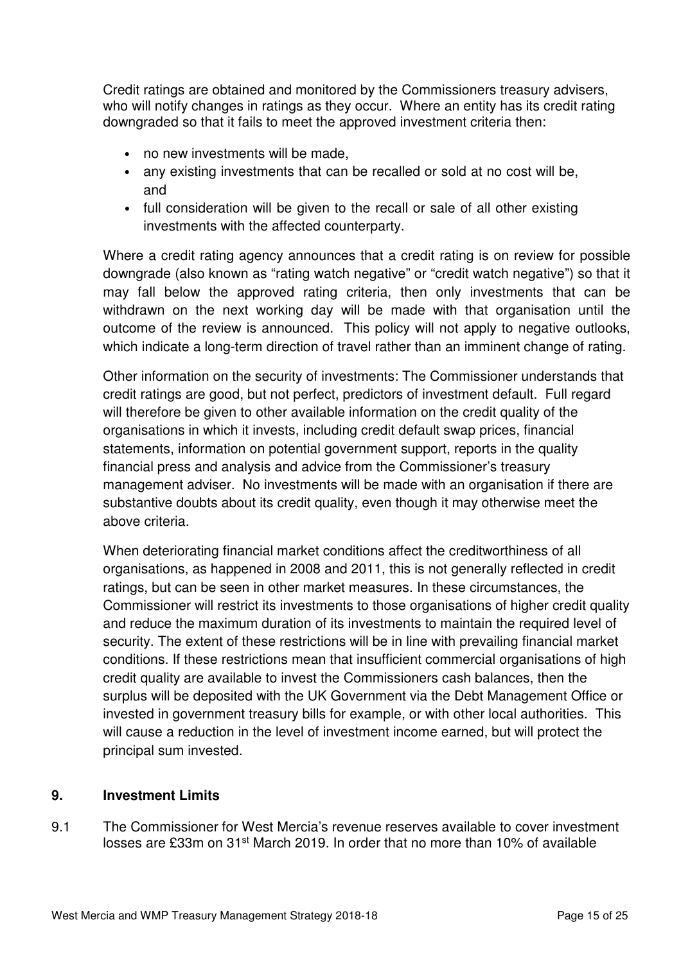Credit ratings are obtained and monitored by the Commissioners treasury advisers, who will notify changes in ratings as they occur. Where an entity has its credit rating downgraded so that it fails to meet the approved investment criteria then:

- no new investments will be made,
- any existing investments that can be recalled or sold at no cost will be, and
- full consideration will be given to the recall or sale of all other existing investments with the affected counterparty.

Where a credit rating agency announces that a credit rating is on review for possible downgrade (also known as "rating watch negative" or "credit watch negative") so that it may fall below the approved rating criteria, then only investments that can be withdrawn on the next working day will be made with that organisation until the outcome of the review is announced. This policy will not apply to negative outlooks, which indicate a long-term direction of travel rather than an imminent change of rating.

Other information on the security of investments: The Commissioner understands that credit ratings are good, but not perfect, predictors of investment default. Full regard will therefore be given to other available information on the credit quality of the organisations in which it invests, including credit default swap prices, financial statements, information on potential government support, reports in the quality financial press and analysis and advice from the Commissioner's treasury management adviser. No investments will be made with an organisation if there are substantive doubts about its credit quality, even though it may otherwise meet the above criteria.

When deteriorating financial market conditions affect the creditworthiness of all organisations, as happened in 2008 and 2011, this is not generally reflected in credit ratings, but can be seen in other market measures. In these circumstances, the Commissioner will restrict its investments to those organisations of higher credit quality and reduce the maximum duration of its investments to maintain the required level of security. The extent of these restrictions will be in line with prevailing financial market conditions. If these restrictions mean that insufficient commercial organisations of high credit quality are available to invest the Commissioners cash balances, then the surplus will be deposited with the UK Government via the Debt Management Office or invested in government treasury bills for example, or with other local authorities. This will cause a reduction in the level of investment income earned, but will protect the principal sum invested.

### **9. Investment Limits**

9.1 The Commissioner for West Mercia's revenue reserves available to cover investment losses are £33m on 31st March 2019. In order that no more than 10% of available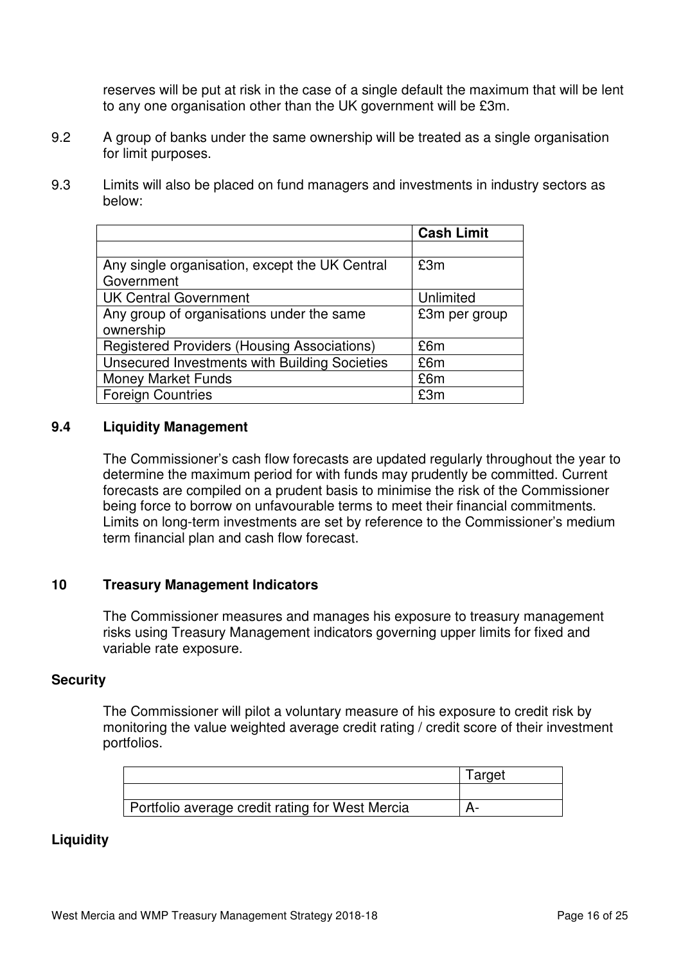reserves will be put at risk in the case of a single default the maximum that will be lent to any one organisation other than the UK government will be £3m.

- 9.2 A group of banks under the same ownership will be treated as a single organisation for limit purposes.
- 9.3 Limits will also be placed on fund managers and investments in industry sectors as below:

|                                                    | <b>Cash Limit</b> |
|----------------------------------------------------|-------------------|
|                                                    |                   |
| Any single organisation, except the UK Central     | £3m               |
| Government                                         |                   |
| <b>UK Central Government</b>                       | Unlimited         |
| Any group of organisations under the same          | £3m per group     |
| ownership                                          |                   |
| <b>Registered Providers (Housing Associations)</b> | £6m               |
| Unsecured Investments with Building Societies      | £6m               |
| <b>Money Market Funds</b>                          | £6m               |
| <b>Foreign Countries</b>                           | £3m               |

#### **9.4 Liquidity Management**

 The Commissioner's cash flow forecasts are updated regularly throughout the year to determine the maximum period for with funds may prudently be committed. Current forecasts are compiled on a prudent basis to minimise the risk of the Commissioner being force to borrow on unfavourable terms to meet their financial commitments. Limits on long-term investments are set by reference to the Commissioner's medium term financial plan and cash flow forecast.

### **10 Treasury Management Indicators**

 The Commissioner measures and manages his exposure to treasury management risks using Treasury Management indicators governing upper limits for fixed and variable rate exposure.

#### **Security**

 The Commissioner will pilot a voluntary measure of his exposure to credit risk by monitoring the value weighted average credit rating / credit score of their investment portfolios.

|                                                 | Target |
|-------------------------------------------------|--------|
|                                                 |        |
| Portfolio average credit rating for West Mercia |        |

### **Liquidity**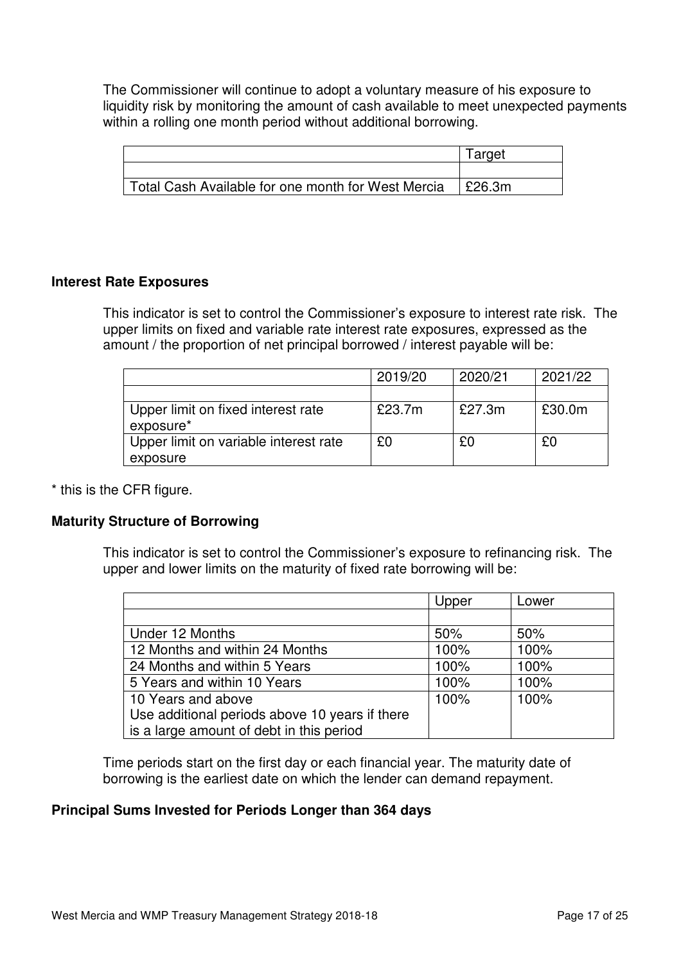The Commissioner will continue to adopt a voluntary measure of his exposure to liquidity risk by monitoring the amount of cash available to meet unexpected payments within a rolling one month period without additional borrowing.

|                                                    | Target |
|----------------------------------------------------|--------|
|                                                    |        |
| Total Cash Available for one month for West Mercia | £26.3m |

### **Interest Rate Exposures**

 This indicator is set to control the Commissioner's exposure to interest rate risk. The upper limits on fixed and variable rate interest rate exposures, expressed as the amount / the proportion of net principal borrowed / interest payable will be:

|                                                 | 2019/20 | 2020/21 | 2021/22 |
|-------------------------------------------------|---------|---------|---------|
|                                                 |         |         |         |
| Upper limit on fixed interest rate<br>exposure* | £23.7m  | £27.3m  | £30.0m  |
| Upper limit on variable interest rate           | £0      | £0      | £0      |
| exposure                                        |         |         |         |

\* this is the CFR figure.

### **Maturity Structure of Borrowing**

 This indicator is set to control the Commissioner's exposure to refinancing risk. The upper and lower limits on the maturity of fixed rate borrowing will be:

|                                                | Upper | Lower |
|------------------------------------------------|-------|-------|
|                                                |       |       |
| Under 12 Months                                | 50%   | 50%   |
| 12 Months and within 24 Months                 | 100%  | 100%  |
| 24 Months and within 5 Years                   | 100%  | 100%  |
| 5 Years and within 10 Years                    | 100%  | 100%  |
| 10 Years and above                             | 100%  | 100%  |
| Use additional periods above 10 years if there |       |       |
| is a large amount of debt in this period       |       |       |

 Time periods start on the first day or each financial year. The maturity date of borrowing is the earliest date on which the lender can demand repayment.

### **Principal Sums Invested for Periods Longer than 364 days**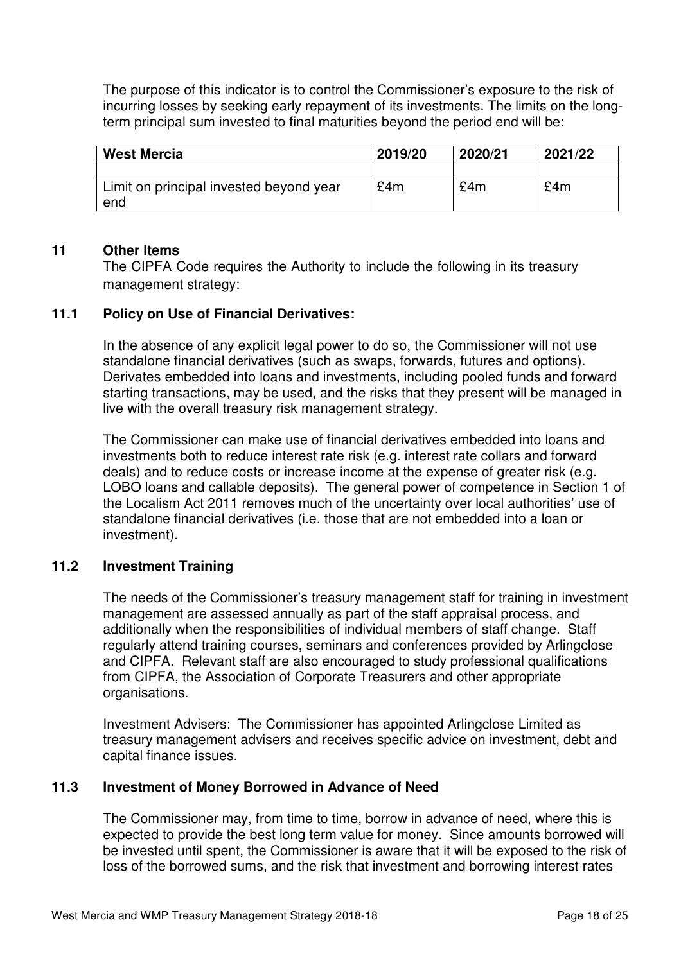The purpose of this indicator is to control the Commissioner's exposure to the risk of incurring losses by seeking early repayment of its investments. The limits on the longterm principal sum invested to final maturities beyond the period end will be:

| <b>West Mercia</b>                             | 2019/20 | 2020/21 | 2021/22 |
|------------------------------------------------|---------|---------|---------|
|                                                |         |         |         |
| Limit on principal invested beyond year<br>end | £4m     | £4m     | £4m     |

### **11 Other Items**

The CIPFA Code requires the Authority to include the following in its treasury management strategy:

## **11.1 Policy on Use of Financial Derivatives:**

 In the absence of any explicit legal power to do so, the Commissioner will not use standalone financial derivatives (such as swaps, forwards, futures and options). Derivates embedded into loans and investments, including pooled funds and forward starting transactions, may be used, and the risks that they present will be managed in live with the overall treasury risk management strategy.

 The Commissioner can make use of financial derivatives embedded into loans and investments both to reduce interest rate risk (e.g. interest rate collars and forward deals) and to reduce costs or increase income at the expense of greater risk (e.g. LOBO loans and callable deposits). The general power of competence in Section 1 of the Localism Act 2011 removes much of the uncertainty over local authorities' use of standalone financial derivatives (i.e. those that are not embedded into a loan or investment).

# **11.2 Investment Training**

 The needs of the Commissioner's treasury management staff for training in investment management are assessed annually as part of the staff appraisal process, and additionally when the responsibilities of individual members of staff change. Staff regularly attend training courses, seminars and conferences provided by Arlingclose and CIPFA. Relevant staff are also encouraged to study professional qualifications from CIPFA, the Association of Corporate Treasurers and other appropriate organisations.

 Investment Advisers: The Commissioner has appointed Arlingclose Limited as treasury management advisers and receives specific advice on investment, debt and capital finance issues.

### **11.3 Investment of Money Borrowed in Advance of Need**

 The Commissioner may, from time to time, borrow in advance of need, where this is expected to provide the best long term value for money. Since amounts borrowed will be invested until spent, the Commissioner is aware that it will be exposed to the risk of loss of the borrowed sums, and the risk that investment and borrowing interest rates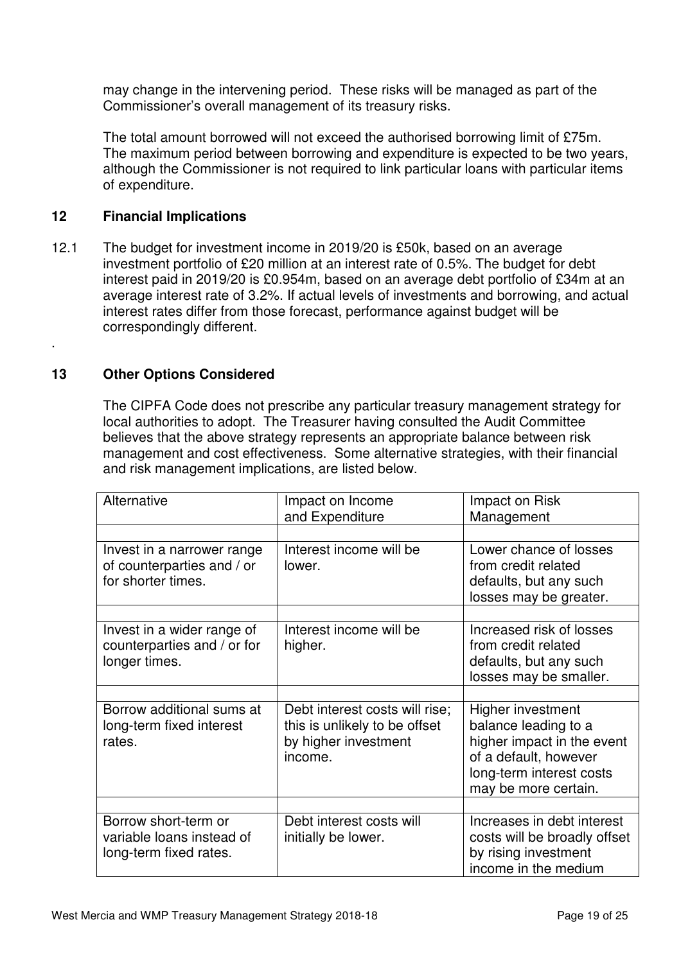may change in the intervening period. These risks will be managed as part of the Commissioner's overall management of its treasury risks.

 The total amount borrowed will not exceed the authorised borrowing limit of £75m. The maximum period between borrowing and expenditure is expected to be two years, although the Commissioner is not required to link particular loans with particular items of expenditure.

## **12 Financial Implications**

12.1 The budget for investment income in 2019/20 is £50k, based on an average investment portfolio of £20 million at an interest rate of 0.5%. The budget for debt interest paid in 2019/20 is £0.954m, based on an average debt portfolio of £34m at an average interest rate of 3.2%. If actual levels of investments and borrowing, and actual interest rates differ from those forecast, performance against budget will be correspondingly different.

## **13 Other Options Considered**

.

 The CIPFA Code does not prescribe any particular treasury management strategy for local authorities to adopt. The Treasurer having consulted the Audit Committee believes that the above strategy represents an appropriate balance between risk management and cost effectiveness. Some alternative strategies, with their financial and risk management implications, are listed below.

| Alternative                                                                    | Impact on Income<br>and Expenditure                                                                | Impact on Risk<br>Management                                                                                                                         |
|--------------------------------------------------------------------------------|----------------------------------------------------------------------------------------------------|------------------------------------------------------------------------------------------------------------------------------------------------------|
|                                                                                |                                                                                                    |                                                                                                                                                      |
| Invest in a narrower range<br>of counterparties and / or<br>for shorter times. | Interest income will be<br>lower.                                                                  | Lower chance of losses<br>from credit related<br>defaults, but any such<br>losses may be greater.                                                    |
| Invest in a wider range of<br>counterparties and / or for<br>longer times.     | Interest income will be<br>higher.                                                                 | Increased risk of losses<br>from credit related<br>defaults, but any such<br>losses may be smaller.                                                  |
|                                                                                |                                                                                                    |                                                                                                                                                      |
| Borrow additional sums at<br>long-term fixed interest<br>rates.                | Debt interest costs will rise;<br>this is unlikely to be offset<br>by higher investment<br>income. | Higher investment<br>balance leading to a<br>higher impact in the event<br>of a default, however<br>long-term interest costs<br>may be more certain. |
|                                                                                |                                                                                                    |                                                                                                                                                      |
| Borrow short-term or<br>variable loans instead of<br>long-term fixed rates.    | Debt interest costs will<br>initially be lower.                                                    | Increases in debt interest<br>costs will be broadly offset<br>by rising investment<br>income in the medium                                           |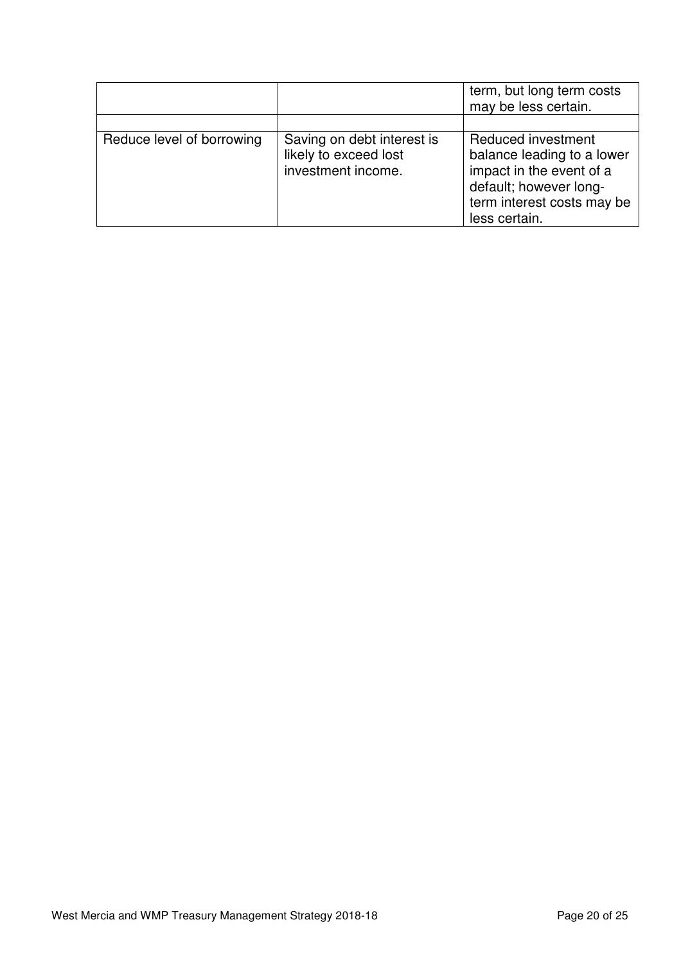|                           |                                                                           | term, but long term costs<br>may be less certain.                                                                                                     |
|---------------------------|---------------------------------------------------------------------------|-------------------------------------------------------------------------------------------------------------------------------------------------------|
|                           |                                                                           |                                                                                                                                                       |
| Reduce level of borrowing | Saving on debt interest is<br>likely to exceed lost<br>investment income. | Reduced investment<br>balance leading to a lower<br>impact in the event of a<br>default; however long-<br>term interest costs may be<br>less certain. |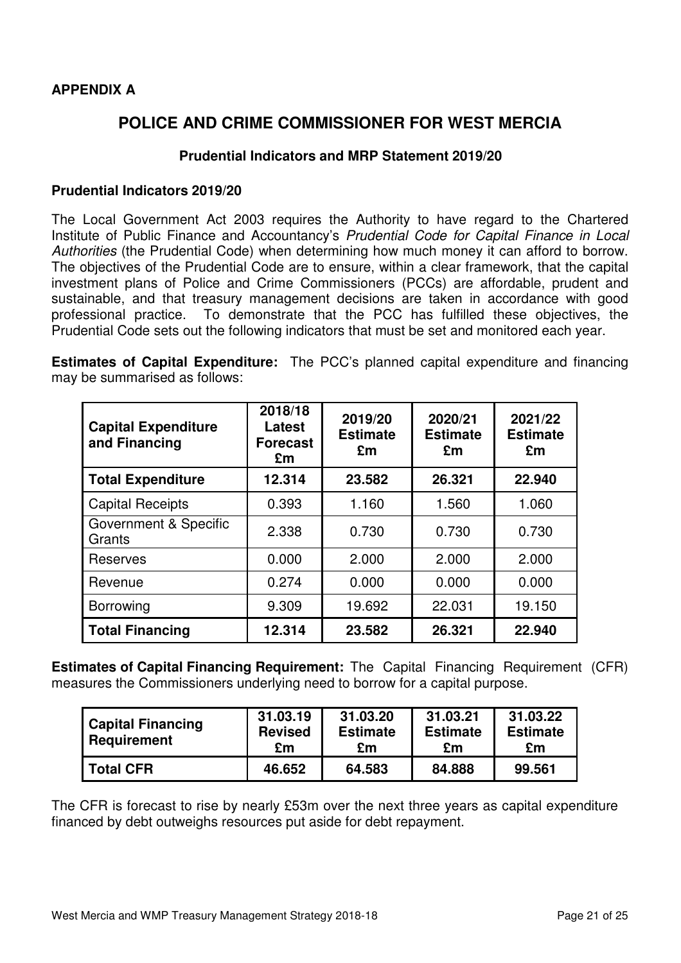## **APPENDIX A**

# **POLICE AND CRIME COMMISSIONER FOR WEST MERCIA**

### **Prudential Indicators and MRP Statement 2019/20**

#### **Prudential Indicators 2019/20**

The Local Government Act 2003 requires the Authority to have regard to the Chartered Institute of Public Finance and Accountancy's Prudential Code for Capital Finance in Local Authorities (the Prudential Code) when determining how much money it can afford to borrow. The objectives of the Prudential Code are to ensure, within a clear framework, that the capital investment plans of Police and Crime Commissioners (PCCs) are affordable, prudent and sustainable, and that treasury management decisions are taken in accordance with good professional practice. To demonstrate that the PCC has fulfilled these objectives, the Prudential Code sets out the following indicators that must be set and monitored each year.

**Estimates of Capital Expenditure:** The PCC's planned capital expenditure and financing may be summarised as follows:

| <b>Capital Expenditure</b><br>and Financing | 2018/18<br>Latest<br><b>Forecast</b><br>£m | 2019/20<br><b>Estimate</b><br>£m | 2020/21<br><b>Estimate</b><br>£m | 2021/22<br><b>Estimate</b><br>£m |
|---------------------------------------------|--------------------------------------------|----------------------------------|----------------------------------|----------------------------------|
| <b>Total Expenditure</b>                    | 12.314                                     | 23.582                           | 26.321                           | 22.940                           |
| <b>Capital Receipts</b>                     | 0.393                                      | 1.160                            | 1.560                            | 1.060                            |
| Government & Specific<br>Grants             | 2.338                                      | 0.730                            | 0.730                            | 0.730                            |
| <b>Reserves</b>                             | 0.000                                      | 2.000                            | 2.000                            | 2.000                            |
| Revenue                                     | 0.274                                      | 0.000                            | 0.000                            | 0.000                            |
| <b>Borrowing</b>                            | 9.309                                      | 19.692                           | 22.031                           | 19.150                           |
| <b>Total Financing</b>                      | 12.314                                     | 23.582                           | 26.321                           | 22.940                           |

**Estimates of Capital Financing Requirement:** The Capital Financing Requirement (CFR) measures the Commissioners underlying need to borrow for a capital purpose.

| <b>Capital Financing</b><br>Requirement | 31.03.19<br><b>Revised</b><br>£m | 31.03.20<br><b>Estimate</b><br>£m | 31.03.21<br><b>Estimate</b><br>£m | 31.03.22<br><b>Estimate</b><br>£m |
|-----------------------------------------|----------------------------------|-----------------------------------|-----------------------------------|-----------------------------------|
| <b>Total CFR</b>                        | 46.652                           | 64.583                            | 84.888                            | 99.561                            |

The CFR is forecast to rise by nearly £53m over the next three years as capital expenditure financed by debt outweighs resources put aside for debt repayment.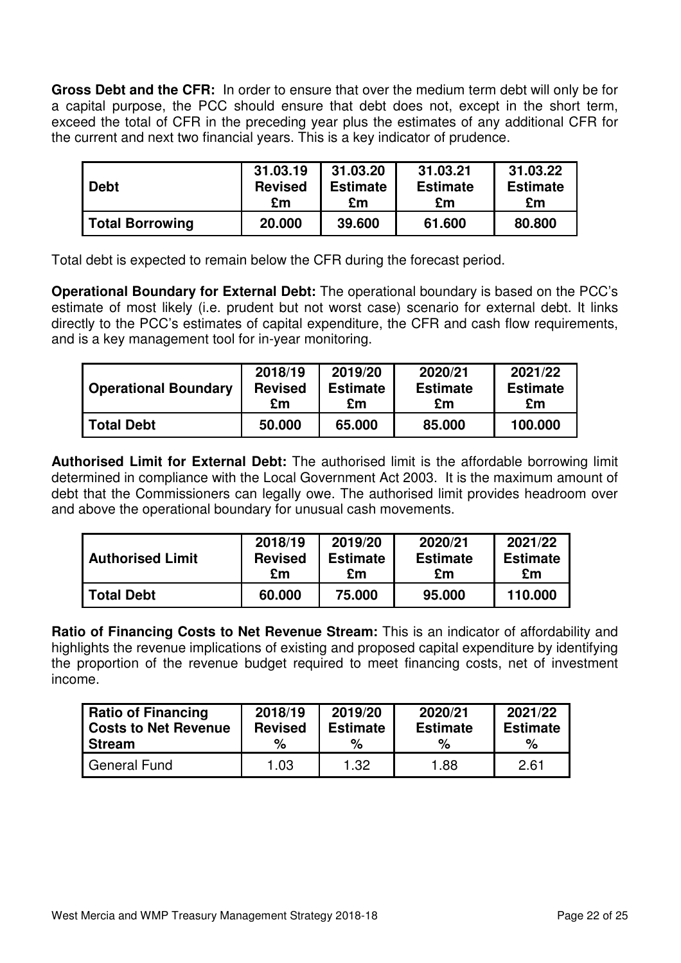**Gross Debt and the CFR:** In order to ensure that over the medium term debt will only be for a capital purpose, the PCC should ensure that debt does not, except in the short term, exceed the total of CFR in the preceding year plus the estimates of any additional CFR for the current and next two financial years. This is a key indicator of prudence.

| <b>Debt</b>            | 31.03.19       | 31.03.20        | 31.03.21        | 31.03.22        |
|------------------------|----------------|-----------------|-----------------|-----------------|
|                        | <b>Revised</b> | <b>Estimate</b> | <b>Estimate</b> | <b>Estimate</b> |
|                        | £m             | £m              | £m              | £m              |
| <b>Total Borrowing</b> | 20.000         | 39,600          | 61.600          | 80,800          |

Total debt is expected to remain below the CFR during the forecast period.

**Operational Boundary for External Debt:** The operational boundary is based on the PCC's estimate of most likely (i.e. prudent but not worst case) scenario for external debt. It links directly to the PCC's estimates of capital expenditure, the CFR and cash flow requirements, and is a key management tool for in-year monitoring.

| <b>Operational Boundary</b> | 2018/19        | 2019/20         | 2020/21         | 2021/22         |
|-----------------------------|----------------|-----------------|-----------------|-----------------|
|                             | <b>Revised</b> | <b>Estimate</b> | <b>Estimate</b> | <b>Estimate</b> |
|                             | £m             | £m              | £m              | £m              |
| <b>Total Debt</b>           | 50,000         | 65,000          | 85,000          | 100,000         |

**Authorised Limit for External Debt:** The authorised limit is the affordable borrowing limit determined in compliance with the Local Government Act 2003. It is the maximum amount of debt that the Commissioners can legally owe. The authorised limit provides headroom over and above the operational boundary for unusual cash movements.

| <b>Authorised Limit</b> | 2018/19        | 2019/20         | 2020/21         | 2021/22         |
|-------------------------|----------------|-----------------|-----------------|-----------------|
|                         | <b>Revised</b> | <b>Estimate</b> | <b>Estimate</b> | <b>Estimate</b> |
|                         | £m             | £m              | £m              | £m              |
| <b>Total Debt</b>       | 60,000         | 75,000          | 95,000          | 110,000         |

**Ratio of Financing Costs to Net Revenue Stream:** This is an indicator of affordability and highlights the revenue implications of existing and proposed capital expenditure by identifying the proportion of the revenue budget required to meet financing costs, net of investment income.

| <b>Ratio of Financing</b> | 2018/19        | 2019/20         | 2020/21         | 2021/22         |
|---------------------------|----------------|-----------------|-----------------|-----------------|
| Costs to Net Revenue      | <b>Revised</b> | <b>Estimate</b> | <b>Estimate</b> | <b>Estimate</b> |
| Stream                    | %              | %               | %               | %               |
| General Fund              | 1.03           | 1.32            | 1.88            | 2.61            |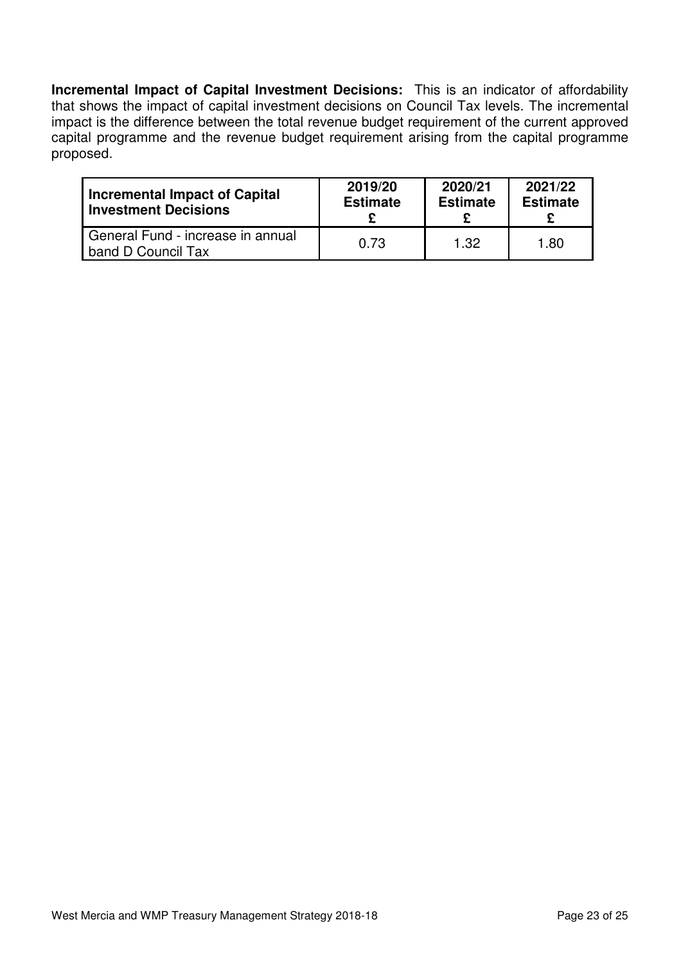**Incremental Impact of Capital Investment Decisions:** This is an indicator of affordability that shows the impact of capital investment decisions on Council Tax levels. The incremental impact is the difference between the total revenue budget requirement of the current approved capital programme and the revenue budget requirement arising from the capital programme proposed.

| <b>Incremental Impact of Capital</b>                    | 2019/20         | 2020/21         | 2021/22         |
|---------------------------------------------------------|-----------------|-----------------|-----------------|
| <b>Investment Decisions</b>                             | <b>Estimate</b> | <b>Estimate</b> | <b>Estimate</b> |
| General Fund - increase in annual<br>band D Council Tax | 0.73            | 1.32            | 1.80            |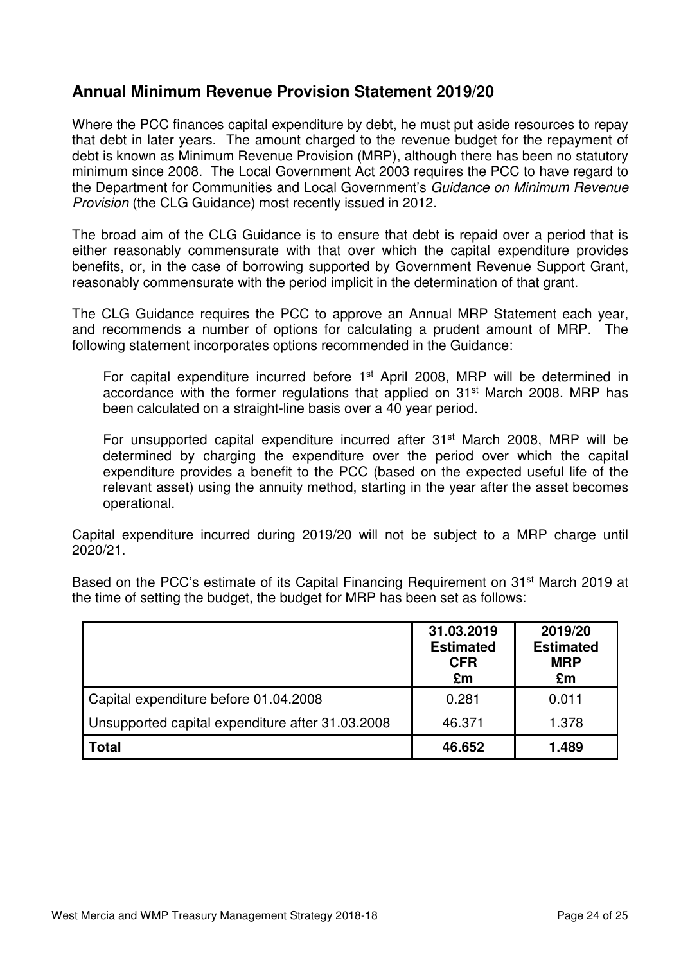# **Annual Minimum Revenue Provision Statement 2019/20**

Where the PCC finances capital expenditure by debt, he must put aside resources to repay that debt in later years. The amount charged to the revenue budget for the repayment of debt is known as Minimum Revenue Provision (MRP), although there has been no statutory minimum since 2008. The Local Government Act 2003 requires the PCC to have regard to the Department for Communities and Local Government's Guidance on Minimum Revenue Provision (the CLG Guidance) most recently issued in 2012.

The broad aim of the CLG Guidance is to ensure that debt is repaid over a period that is either reasonably commensurate with that over which the capital expenditure provides benefits, or, in the case of borrowing supported by Government Revenue Support Grant, reasonably commensurate with the period implicit in the determination of that grant.

The CLG Guidance requires the PCC to approve an Annual MRP Statement each year, and recommends a number of options for calculating a prudent amount of MRP. The following statement incorporates options recommended in the Guidance:

For capital expenditure incurred before 1st April 2008, MRP will be determined in accordance with the former regulations that applied on 31<sup>st</sup> March 2008. MRP has been calculated on a straight-line basis over a 40 year period.

For unsupported capital expenditure incurred after 31<sup>st</sup> March 2008, MRP will be determined by charging the expenditure over the period over which the capital expenditure provides a benefit to the PCC (based on the expected useful life of the relevant asset) using the annuity method, starting in the year after the asset becomes operational.

Capital expenditure incurred during 2019/20 will not be subject to a MRP charge until 2020/21.

Based on the PCC's estimate of its Capital Financing Requirement on 31<sup>st</sup> March 2019 at the time of setting the budget, the budget for MRP has been set as follows:

|                                                  | 31.03.2019<br><b>Estimated</b><br><b>CFR</b><br>£m | 2019/20<br><b>Estimated</b><br><b>MRP</b><br>£m |
|--------------------------------------------------|----------------------------------------------------|-------------------------------------------------|
| Capital expenditure before 01.04.2008            | 0.281                                              | 0.011                                           |
| Unsupported capital expenditure after 31.03.2008 | 46.371                                             | 1.378                                           |
| <b>Total</b>                                     | 46.652                                             | 1.489                                           |